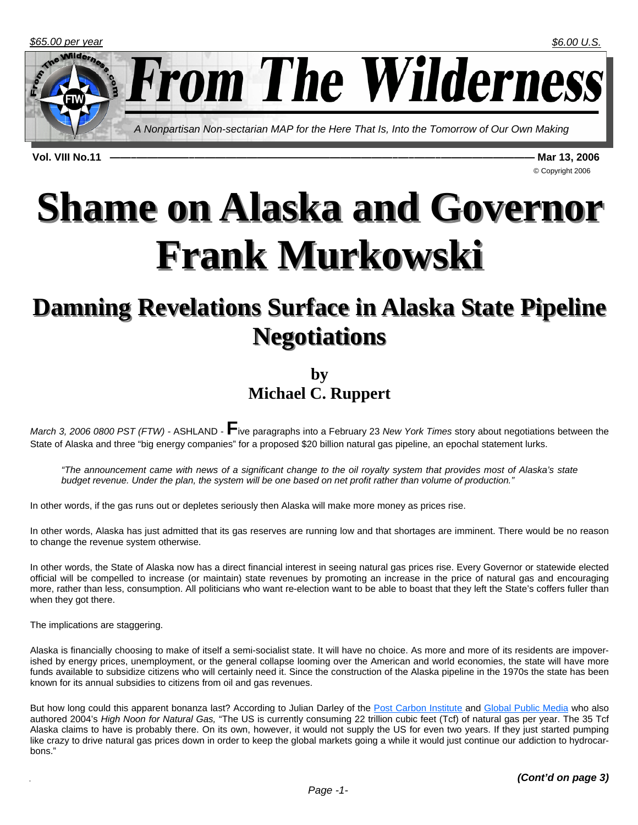*\$65.00 per year \$6.00 U.S.*

rom The Wilderness

*A Nonpartisan Non-sectarian MAP for the Here That Is, Into the Tomorrow of Our Own Making* 

**Vol. VIII No.11 ——–—————–———————————————————–—–——–————————— Mar 13, 2006** 

# **Shame on Alaska and Governor Frank Murkowski Frank Murkowski**

# **Damning Revelations Surface in Alaska State Pipeline Negotiations Negotiations**

## **by Michael C. Ruppert**

*March 3, 2006 0800 PST (FTW) -* ASHLAND - **F**ive paragraphs into a February 23 *New York Times* story about negotiations between the State of Alaska and three "big energy companies" for a proposed \$20 billion natural gas pipeline, an epochal statement lurks.

*"The announcement came with news of a significant change to the oil royalty system that provides most of Alaska's state budget revenue. Under the plan, the system will be one based on net profit rather than volume of production."*

In other words, if the gas runs out or depletes seriously then Alaska will make more money as prices rise.

In other words, Alaska has just admitted that its gas reserves are running low and that shortages are imminent. There would be no reason to change the revenue system otherwise.

In other words, the State of Alaska now has a direct financial interest in seeing natural gas prices rise. Every Governor or statewide elected official will be compelled to increase (or maintain) state revenues by promoting an increase in the price of natural gas and encouraging more, rather than less, consumption. All politicians who want re-election want to be able to boast that they left the State's coffers fuller than when they got there.

The implications are staggering.

Alaska is financially choosing to make of itself a semi-socialist state. It will have no choice. As more and more of its residents are impoverished by energy prices, unemployment, or the general collapse looming over the American and world economies, the state will have more funds available to subsidize citizens who will certainly need it. Since the construction of the Alaska pipeline in the 1970s the state has been known for its annual subsidies to citizens from oil and gas revenues.

But how long could this apparent bonanza last? According to Julian Darley of the Post Carbon Institute and Global Public Media who also authored 2004's *High Noon for Natural Gas,* "The US is currently consuming 22 trillion cubic feet (Tcf) of natural gas per year. The 35 Tcf Alaska claims to have is probably there. On its own, however, it would not supply the US for even two years. If they just started pumping like crazy to drive natural gas prices down in order to keep the global markets going a while it would just continue our addiction to hydrocarbons."

© Copyright 2006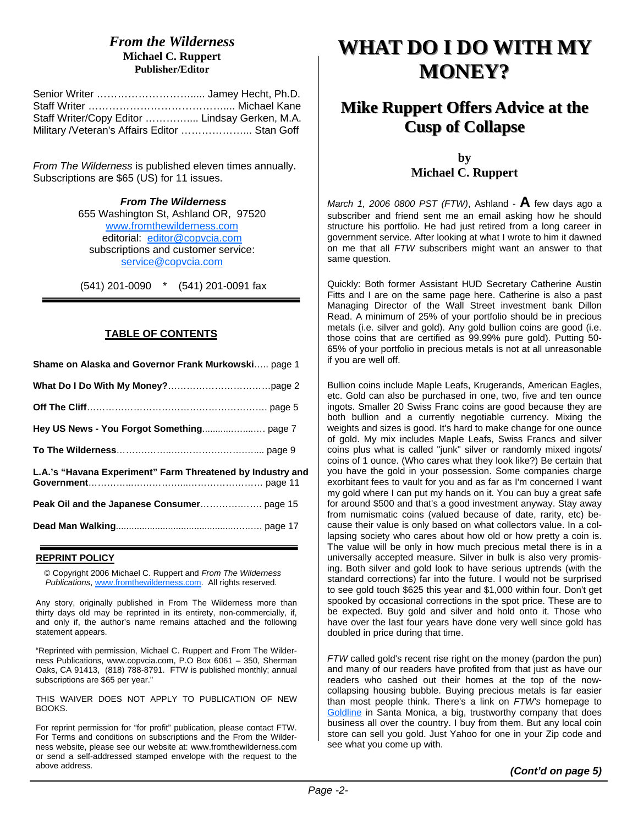#### *From the Wilderness*  **Michael C. Ruppert Publisher/Editor**

| Staff Writer/Copy Editor  Lindsay Gerken, M.A. |  |
|------------------------------------------------|--|
| Military /Veteran's Affairs Editor  Stan Goff  |  |

*From The Wilderness* is published eleven times annually. Subscriptions are \$65 (US) for 11 issues.

> *From The Wilderness*  655 Washington St, Ashland OR, 97520 www.fromthewilderness.com editorial: editor@copvcia.com subscriptions and customer service: service@copvcia.com

> (541) 201-0090 \* (541) 201-0091 fax

#### **TABLE OF CONTENTS**

| Shame on Alaska and Governor Frank Murkowski page 1        |  |
|------------------------------------------------------------|--|
|                                                            |  |
|                                                            |  |
|                                                            |  |
|                                                            |  |
| L.A.'s "Havana Experiment" Farm Threatened by Industry and |  |
|                                                            |  |
|                                                            |  |

#### **REPRINT POLICY**

© Copyright 2006 Michael C. Ruppert and *From The Wilderness Publications*, www.fromthewilderness.com. All rights reserved.

Any story, originally published in From The Wilderness more than thirty days old may be reprinted in its entirety, non-commercially, if, and only if, the author's name remains attached and the following statement appears.

"Reprinted with permission, Michael C. Ruppert and From The Wilderness Publications, www.copvcia.com, P.O Box 6061 – 350, Sherman Oaks, CA 91413, (818) 788-8791. FTW is published monthly; annual subscriptions are \$65 per year."

THIS WAIVER DOES NOT APPLY TO PUBLICATION OF NEW BOOKS.

For reprint permission for "for profit" publication, please contact FTW. For Terms and conditions on subscriptions and the From the Wilderness website, please see our website at: www.fromthewilderness.com or send a self-addressed stamped envelope with the request to the above address.

# **WHAT DO I DO WITH MY WHAT DO I DO WITH MY MONEY?**

### **Mike Ruppert Offers Advice at the Cusp of Collapse Cusp of Collapse**

#### **by Michael C. Ruppert**

*March 1, 2006 0800 PST (FTW)*, Ashland - **A** few days ago a subscriber and friend sent me an email asking how he should structure his portfolio. He had just retired from a long career in government service. After looking at what I wrote to him it dawned on me that all *FTW* subscribers might want an answer to that same question.

Quickly: Both former Assistant HUD Secretary Catherine Austin Fitts and I are on the same page here. Catherine is also a past Managing Director of the Wall Street investment bank Dillon Read. A minimum of 25% of your portfolio should be in precious metals (i.e. silver and gold). Any gold bullion coins are good (i.e. those coins that are certified as 99.99% pure gold). Putting 50- 65% of your portfolio in precious metals is not at all unreasonable if you are well off.

Bullion coins include Maple Leafs, Krugerands, American Eagles, etc. Gold can also be purchased in one, two, five and ten ounce ingots. Smaller 20 Swiss Franc coins are good because they are both bullion and a currently negotiable currency. Mixing the weights and sizes is good. It's hard to make change for one ounce of gold. My mix includes Maple Leafs, Swiss Francs and silver coins plus what is called "junk" silver or randomly mixed ingots/ coins of 1 ounce. (Who cares what they look like?) Be certain that you have the gold in your possession. Some companies charge exorbitant fees to vault for you and as far as I'm concerned I want my gold where I can put my hands on it. You can buy a great safe for around \$500 and that's a good investment anyway. Stay away from numismatic coins (valued because of date, rarity, etc) because their value is only based on what collectors value. In a collapsing society who cares about how old or how pretty a coin is. The value will be only in how much precious metal there is in a universally accepted measure. Silver in bulk is also very promising. Both silver and gold look to have serious uptrends (with the standard corrections) far into the future. I would not be surprised to see gold touch \$625 this year and \$1,000 within four. Don't get spooked by occasional corrections in the spot price. These are to be expected. Buy gold and silver and hold onto it. Those who have over the last four years have done very well since gold has doubled in price during that time.

*FTW* called gold's recent rise right on the money (pardon the pun) and many of our readers have profited from that just as have our readers who cashed out their homes at the top of the nowcollapsing housing bubble. Buying precious metals is far easier than most people think. There's a link on *FTW's* homepage to Goldline in Santa Monica, a big, trustworthy company that does business all over the country. I buy from them. But any local coin store can sell you gold. Just Yahoo for one in your Zip code and see what you come up with.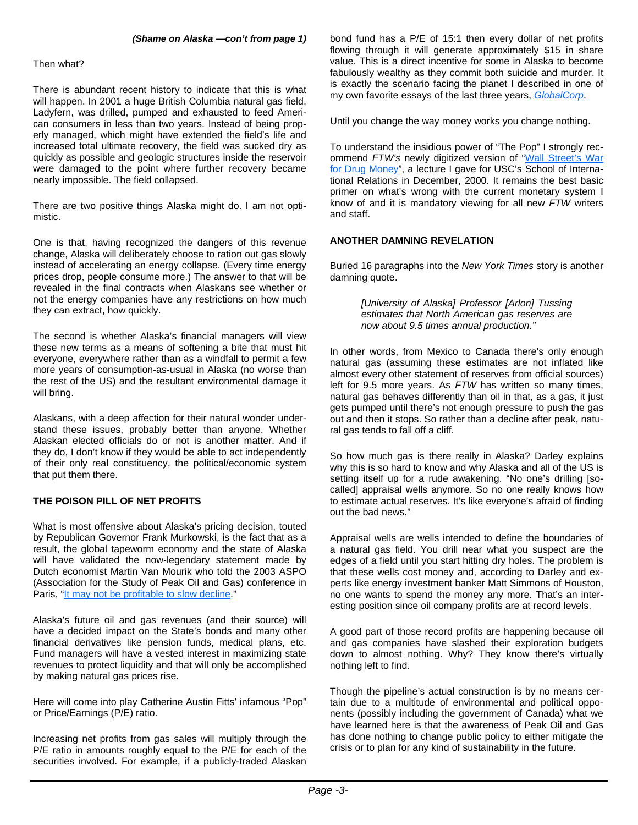#### Then what?

There is abundant recent history to indicate that this is what will happen. In 2001 a huge British Columbia natural gas field, Ladyfern, was drilled, pumped and exhausted to feed American consumers in less than two years. Instead of being properly managed, which might have extended the field's life and increased total ultimate recovery, the field was sucked dry as quickly as possible and geologic structures inside the reservoir were damaged to the point where further recovery became nearly impossible. The field collapsed.

There are two positive things Alaska might do. I am not optimistic.

One is that, having recognized the dangers of this revenue change, Alaska will deliberately choose to ration out gas slowly instead of accelerating an energy collapse. (Every time energy prices drop, people consume more.) The answer to that will be revealed in the final contracts when Alaskans see whether or not the energy companies have any restrictions on how much they can extract, how quickly.

The second is whether Alaska's financial managers will view these new terms as a means of softening a bite that must hit everyone, everywhere rather than as a windfall to permit a few more years of consumption-as-usual in Alaska (no worse than the rest of the US) and the resultant environmental damage it will bring.

Alaskans, with a deep affection for their natural wonder understand these issues, probably better than anyone. Whether Alaskan elected officials do or not is another matter. And if they do, I don't know if they would be able to act independently of their only real constituency, the political/economic system that put them there.

#### **THE POISON PILL OF NET PROFITS**

What is most offensive about Alaska's pricing decision, touted by Republican Governor Frank Murkowski, is the fact that as a result, the global tapeworm economy and the state of Alaska will have validated the now-legendary statement made by Dutch economist Martin Van Mourik who told the 2003 ASPO (Association for the Study of Peak Oil and Gas) conference in Paris, "It may not be profitable to slow decline."

Alaska's future oil and gas revenues (and their source) will have a decided impact on the State's bonds and many other financial derivatives like pension funds, medical plans, etc. Fund managers will have a vested interest in maximizing state revenues to protect liquidity and that will only be accomplished by making natural gas prices rise.

Here will come into play Catherine Austin Fitts' infamous "Pop" or Price/Earnings (P/E) ratio.

Increasing net profits from gas sales will multiply through the P/E ratio in amounts roughly equal to the P/E for each of the securities involved. For example, if a publicly-traded Alaskan bond fund has a P/E of 15:1 then every dollar of net profits flowing through it will generate approximately \$15 in share value. This is a direct incentive for some in Alaska to become fabulously wealthy as they commit both suicide and murder. It is exactly the scenario facing the planet I described in one of my own favorite essays of the last three years, *GlobalCorp*.

Until you change the way money works you change nothing.

To understand the insidious power of "The Pop" I strongly recommend *FTW's* newly digitized version of "Wall Street's War for Drug Money", a lecture I gave for USC's School of International Relations in December, 2000. It remains the best basic primer on what's wrong with the current monetary system I know of and it is mandatory viewing for all new *FTW* writers and staff.

#### **ANOTHER DAMNING REVELATION**

Buried 16 paragraphs into the *New York Times* story is another damning quote.

> *[University of Alaska] Professor [Arlon] Tussing estimates that North American gas reserves are now about 9.5 times annual production."*

In other words, from Mexico to Canada there's only enough natural gas (assuming these estimates are not inflated like almost every other statement of reserves from official sources) left for 9.5 more years. As *FTW* has written so many times, natural gas behaves differently than oil in that, as a gas, it just gets pumped until there's not enough pressure to push the gas out and then it stops. So rather than a decline after peak, natural gas tends to fall off a cliff.

So how much gas is there really in Alaska? Darley explains why this is so hard to know and why Alaska and all of the US is setting itself up for a rude awakening. "No one's drilling [socalled] appraisal wells anymore. So no one really knows how to estimate actual reserves. It's like everyone's afraid of finding out the bad news."

Appraisal wells are wells intended to define the boundaries of a natural gas field. You drill near what you suspect are the edges of a field until you start hitting dry holes. The problem is that these wells cost money and, according to Darley and experts like energy investment banker Matt Simmons of Houston, no one wants to spend the money any more. That's an interesting position since oil company profits are at record levels.

A good part of those record profits are happening because oil and gas companies have slashed their exploration budgets down to almost nothing. Why? They know there's virtually nothing left to find.

Though the pipeline's actual construction is by no means certain due to a multitude of environmental and political opponents (possibly including the government of Canada) what we have learned here is that the awareness of Peak Oil and Gas has done nothing to change public policy to either mitigate the crisis or to plan for any kind of sustainability in the future.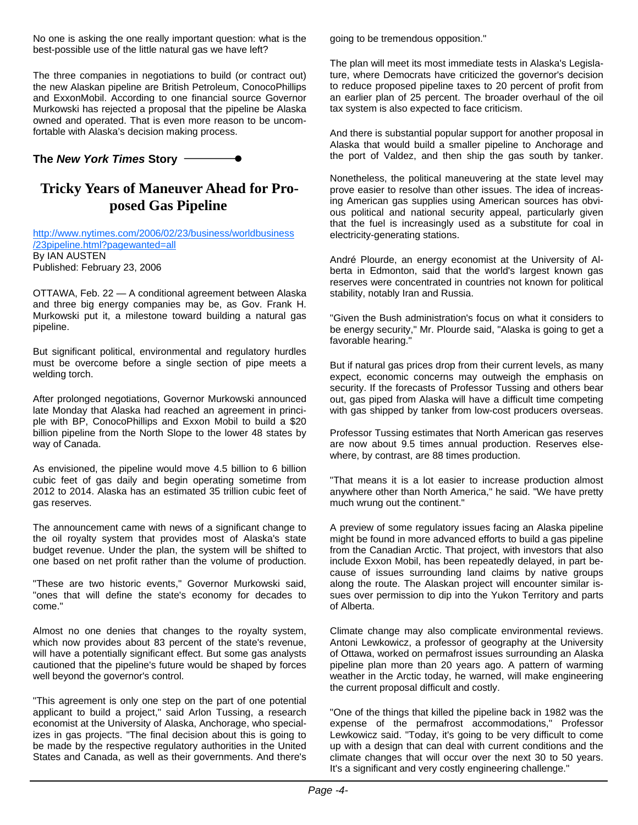No one is asking the one really important question: what is the best-possible use of the little natural gas we have left?

The three companies in negotiations to build (or contract out) the new Alaskan pipeline are British Petroleum, ConocoPhillips and ExxonMobil. According to one financial source Governor Murkowski has rejected a proposal that the pipeline be Alaska owned and operated. That is even more reason to be uncomfortable with Alaska's decision making process.

#### **The** *New York Times* **Story**

### **Tricky Years of Maneuver Ahead for Proposed Gas Pipeline**

http://www.nytimes.com/2006/02/23/business/worldbusiness /23pipeline.html?pagewanted=all By IAN AUSTEN

Published: February 23, 2006

OTTAWA, Feb. 22 — A conditional agreement between Alaska and three big energy companies may be, as Gov. Frank H. Murkowski put it, a milestone toward building a natural gas pipeline.

But significant political, environmental and regulatory hurdles must be overcome before a single section of pipe meets a welding torch.

After prolonged negotiations, Governor Murkowski announced late Monday that Alaska had reached an agreement in principle with BP, ConocoPhillips and Exxon Mobil to build a \$20 billion pipeline from the North Slope to the lower 48 states by way of Canada.

As envisioned, the pipeline would move 4.5 billion to 6 billion cubic feet of gas daily and begin operating sometime from 2012 to 2014. Alaska has an estimated 35 trillion cubic feet of gas reserves.

The announcement came with news of a significant change to the oil royalty system that provides most of Alaska's state budget revenue. Under the plan, the system will be shifted to one based on net profit rather than the volume of production.

"These are two historic events," Governor Murkowski said, "ones that will define the state's economy for decades to come."

Almost no one denies that changes to the royalty system, which now provides about 83 percent of the state's revenue, will have a potentially significant effect. But some gas analysts cautioned that the pipeline's future would be shaped by forces well beyond the governor's control.

"This agreement is only one step on the part of one potential applicant to build a project," said Arlon Tussing, a research economist at the University of Alaska, Anchorage, who specializes in gas projects. "The final decision about this is going to be made by the respective regulatory authorities in the United States and Canada, as well as their governments. And there's going to be tremendous opposition."

The plan will meet its most immediate tests in Alaska's Legislature, where Democrats have criticized the governor's decision to reduce proposed pipeline taxes to 20 percent of profit from an earlier plan of 25 percent. The broader overhaul of the oil tax system is also expected to face criticism.

And there is substantial popular support for another proposal in Alaska that would build a smaller pipeline to Anchorage and the port of Valdez, and then ship the gas south by tanker.

Nonetheless, the political maneuvering at the state level may prove easier to resolve than other issues. The idea of increasing American gas supplies using American sources has obvious political and national security appeal, particularly given that the fuel is increasingly used as a substitute for coal in electricity-generating stations.

André Plourde, an energy economist at the University of Alberta in Edmonton, said that the world's largest known gas reserves were concentrated in countries not known for political stability, notably Iran and Russia.

"Given the Bush administration's focus on what it considers to be energy security," Mr. Plourde said, "Alaska is going to get a favorable hearing."

But if natural gas prices drop from their current levels, as many expect, economic concerns may outweigh the emphasis on security. If the forecasts of Professor Tussing and others bear out, gas piped from Alaska will have a difficult time competing with gas shipped by tanker from low-cost producers overseas.

Professor Tussing estimates that North American gas reserves are now about 9.5 times annual production. Reserves elsewhere, by contrast, are 88 times production.

"That means it is a lot easier to increase production almost anywhere other than North America," he said. "We have pretty much wrung out the continent."

A preview of some regulatory issues facing an Alaska pipeline might be found in more advanced efforts to build a gas pipeline from the Canadian Arctic. That project, with investors that also include Exxon Mobil, has been repeatedly delayed, in part because of issues surrounding land claims by native groups along the route. The Alaskan project will encounter similar issues over permission to dip into the Yukon Territory and parts of Alberta.

Climate change may also complicate environmental reviews. Antoni Lewkowicz, a professor of geography at the University of Ottawa, worked on permafrost issues surrounding an Alaska pipeline plan more than 20 years ago. A pattern of warming weather in the Arctic today, he warned, will make engineering the current proposal difficult and costly.

"One of the things that killed the pipeline back in 1982 was the expense of the permafrost accommodations," Professor Lewkowicz said. "Today, it's going to be very difficult to come up with a design that can deal with current conditions and the climate changes that will occur over the next 30 to 50 years. It's a significant and very costly engineering challenge."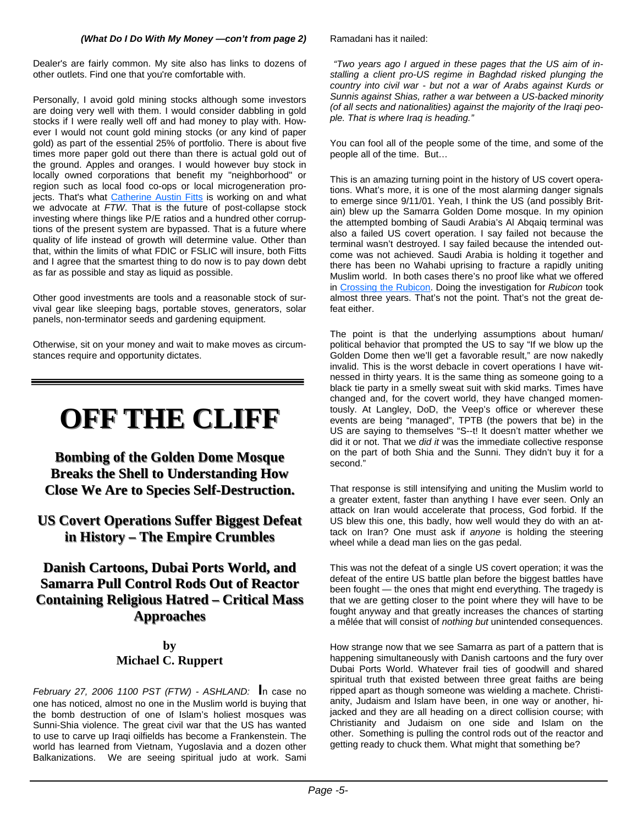Dealer's are fairly common. My site also has links to dozens of other outlets. Find one that you're comfortable with.

Personally, I avoid gold mining stocks although some investors are doing very well with them. I would consider dabbling in gold stocks if I were really well off and had money to play with. However I would not count gold mining stocks (or any kind of paper gold) as part of the essential 25% of portfolio. There is about five times more paper gold out there than there is actual gold out of the ground. Apples and oranges. I would however buy stock in locally owned corporations that benefit my "neighborhood" or region such as local food co-ops or local microgeneration projects. That's what Catherine Austin Fitts is working on and what we advocate at *FTW*. That is the future of post-collapse stock investing where things like P/E ratios and a hundred other corruptions of the present system are bypassed. That is a future where quality of life instead of growth will determine value. Other than that, within the limits of what FDIC or FSLIC will insure, both Fitts and I agree that the smartest thing to do now is to pay down debt as far as possible and stay as liquid as possible.

Other good investments are tools and a reasonable stock of survival gear like sleeping bags, portable stoves, generators, solar panels, non-terminator seeds and gardening equipment.

Otherwise, sit on your money and wait to make moves as circumstances require and opportunity dictates.

# **OFF THE CLIFF OFF THE CLIFF**

**Bombing of the Golden Dome Mosque Bombing of the Golden Dome Mosque Breaks the Shell to Understanding How Close We Are to Species Self-Destruction.** 

**US Covert Operations Suffer Biggest Defeat** in History – The Empire Crumbles

#### **Danish Cartoons, Dubai Ports World, and Samarra Pull Control Rods Out of Reactor Containing Religious Hatred – Critical Mass Approaches Approaches**

#### **by Michael C. Ruppert**

*February 27, 2006 1100 PST (FTW) - ASHLAND:* **I**n case no one has noticed, almost no one in the Muslim world is buying that the bomb destruction of one of Islam's holiest mosques was Sunni-Shia violence. The great civil war that the US has wanted to use to carve up Iraqi oilfields has become a Frankenstein. The world has learned from Vietnam, Yugoslavia and a dozen other Balkanizations. We are seeing spiritual judo at work. Sami Ramadani has it nailed:

 *"Two years ago I argued in these pages that the US aim of installing a client pro-US regime in Baghdad risked plunging the country into civil war - but not a war of Arabs against Kurds or Sunnis against Shias, rather a war between a US-backed minority (of all sects and nationalities) against the majority of the Iraqi people. That is where Iraq is heading."*

You can fool all of the people some of the time, and some of the people all of the time. But…

This is an amazing turning point in the history of US covert operations. What's more, it is one of the most alarming danger signals to emerge since 9/11/01. Yeah, I think the US (and possibly Britain) blew up the Samarra Golden Dome mosque. In my opinion the attempted bombing of Saudi Arabia's Al Abqaiq terminal was also a failed US covert operation. I say failed not because the terminal wasn't destroyed. I say failed because the intended outcome was not achieved. Saudi Arabia is holding it together and there has been no Wahabi uprising to fracture a rapidly uniting Muslim world. In both cases there's no proof like what we offered in Crossing the Rubicon. Doing the investigation for *Rubicon* took almost three years. That's not the point. That's not the great defeat either.

The point is that the underlying assumptions about human/ political behavior that prompted the US to say "If we blow up the Golden Dome then we'll get a favorable result," are now nakedly invalid. This is the worst debacle in covert operations I have witnessed in thirty years. It is the same thing as someone going to a black tie party in a smelly sweat suit with skid marks. Times have changed and, for the covert world, they have changed momentously. At Langley, DoD, the Veep's office or wherever these events are being "managed", TPTB (the powers that be) in the US are saying to themselves "S--t! It doesn't matter whether we did it or not. That we *did it* was the immediate collective response on the part of both Shia and the Sunni. They didn't buy it for a second."

That response is still intensifying and uniting the Muslim world to a greater extent, faster than anything I have ever seen. Only an attack on Iran would accelerate that process, God forbid. If the US blew this one, this badly, how well would they do with an attack on Iran? One must ask if *anyone* is holding the steering wheel while a dead man lies on the gas pedal.

This was not the defeat of a single US covert operation; it was the defeat of the entire US battle plan before the biggest battles have been fought — the ones that might end everything. The tragedy is that we are getting closer to the point where they will have to be fought anyway and that greatly increases the chances of starting a mêlée that will consist of *nothing but* unintended consequences.

How strange now that we see Samarra as part of a pattern that is happening simultaneously with Danish cartoons and the fury over Dubai Ports World. Whatever frail ties of goodwill and shared spiritual truth that existed between three great faiths are being ripped apart as though someone was wielding a machete. Christianity, Judaism and Islam have been, in one way or another, hijacked and they are all heading on a direct collision course; with Christianity and Judaism on one side and Islam on the other. Something is pulling the control rods out of the reactor and getting ready to chuck them. What might that something be?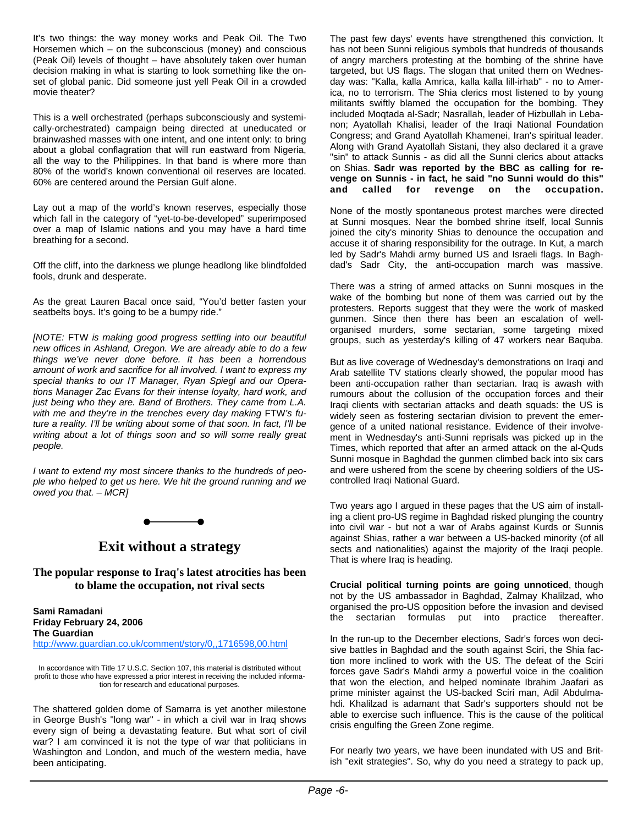It's two things: the way money works and Peak Oil. The Two Horsemen which – on the subconscious (money) and conscious (Peak Oil) levels of thought – have absolutely taken over human decision making in what is starting to look something like the onset of global panic. Did someone just yell Peak Oil in a crowded movie theater?

This is a well orchestrated (perhaps subconsciously and systemically-orchestrated) campaign being directed at uneducated or brainwashed masses with one intent, and one intent only: to bring about a global conflagration that will run eastward from Nigeria, all the way to the Philippines. In that band is where more than 80% of the world's known conventional oil reserves are located. 60% are centered around the Persian Gulf alone.

Lay out a map of the world's known reserves, especially those which fall in the category of "yet-to-be-developed" superimposed over a map of Islamic nations and you may have a hard time breathing for a second.

Off the cliff, into the darkness we plunge headlong like blindfolded fools, drunk and desperate.

As the great Lauren Bacal once said, "You'd better fasten your seatbelts boys. It's going to be a bumpy ride."

*[NOTE:* FTW *is making good progress settling into our beautiful new offices in Ashland, Oregon. We are already able to do a few things we've never done before. It has been a horrendous amount of work and sacrifice for all involved. I want to express my special thanks to our IT Manager, Ryan Spiegl and our Operations Manager Zac Evans for their intense loyalty, hard work, and just being who they are. Band of Brothers. They came from L.A. with me and they're in the trenches every day making* FTW*'s future a reality. I'll be writing about some of that soon. In fact, I'll be writing about a lot of things soon and so will some really great people.*

*I want to extend my most sincere thanks to the hundreds of people who helped to get us here. We hit the ground running and we owed you that. – MCR]* 

#### **Exit without a strategy**

**The popular response to Iraq's latest atrocities has been to blame the occupation, not rival sects** 

**Sami Ramadani Friday February 24, 2006 The Guardian** http://www.guardian.co.uk/comment/story/0,,1716598,00.html

In accordance with Title 17 U.S.C. Section 107, this material is distributed without profit to those who have expressed a prior interest in receiving the included information for research and educational purposes.

The shattered golden dome of Samarra is yet another milestone in George Bush's "long war" - in which a civil war in Iraq shows every sign of being a devastating feature. But what sort of civil war? I am convinced it is not the type of war that politicians in Washington and London, and much of the western media, have been anticipating.

The past few days' events have strengthened this conviction. It has not been Sunni religious symbols that hundreds of thousands of angry marchers protesting at the bombing of the shrine have targeted, but US flags. The slogan that united them on Wednesday was: "Kalla, kalla Amrica, kalla kalla lill-irhab" - no to America, no to terrorism. The Shia clerics most listened to by young militants swiftly blamed the occupation for the bombing. They included Moqtada al-Sadr; Nasrallah, leader of Hizbullah in Lebanon; Ayatollah Khalisi, leader of the Iraqi National Foundation Congress; and Grand Ayatollah Khamenei, Iran's spiritual leader. Along with Grand Ayatollah Sistani, they also declared it a grave "sin" to attack Sunnis - as did all the Sunni clerics about attacks on Shias. **Sadr was reported by the BBC as calling for revenge on Sunnis - in fact, he said "no Sunni would do this" and called for revenge on the occupation.**

None of the mostly spontaneous protest marches were directed at Sunni mosques. Near the bombed shrine itself, local Sunnis joined the city's minority Shias to denounce the occupation and accuse it of sharing responsibility for the outrage. In Kut, a march led by Sadr's Mahdi army burned US and Israeli flags. In Baghdad's Sadr City, the anti-occupation march was massive.

There was a string of armed attacks on Sunni mosques in the wake of the bombing but none of them was carried out by the protesters. Reports suggest that they were the work of masked gunmen. Since then there has been an escalation of wellorganised murders, some sectarian, some targeting mixed groups, such as yesterday's killing of 47 workers near Baquba.

But as live coverage of Wednesday's demonstrations on Iraqi and Arab satellite TV stations clearly showed, the popular mood has been anti-occupation rather than sectarian. Iraq is awash with rumours about the collusion of the occupation forces and their Iraqi clients with sectarian attacks and death squads: the US is widely seen as fostering sectarian division to prevent the emergence of a united national resistance. Evidence of their involvement in Wednesday's anti-Sunni reprisals was picked up in the Times, which reported that after an armed attack on the al-Quds Sunni mosque in Baghdad the gunmen climbed back into six cars and were ushered from the scene by cheering soldiers of the UScontrolled Iraqi National Guard.

Two years ago I argued in these pages that the US aim of installing a client pro-US regime in Baghdad risked plunging the country into civil war - but not a war of Arabs against Kurds or Sunnis against Shias, rather a war between a US-backed minority (of all sects and nationalities) against the majority of the Iraqi people. That is where Iraq is heading.

**Crucial political turning points are going unnoticed**, though not by the US ambassador in Baghdad, Zalmay Khalilzad, who organised the pro-US opposition before the invasion and devised the sectarian formulas put into practice thereafter.

In the run-up to the December elections, Sadr's forces won decisive battles in Baghdad and the south against Sciri, the Shia faction more inclined to work with the US. The defeat of the Sciri forces gave Sadr's Mahdi army a powerful voice in the coalition that won the election, and helped nominate Ibrahim Jaafari as prime minister against the US-backed Sciri man, Adil Abdulmahdi. Khalilzad is adamant that Sadr's supporters should not be able to exercise such influence. This is the cause of the political crisis engulfing the Green Zone regime.

For nearly two years, we have been inundated with US and British "exit strategies". So, why do you need a strategy to pack up,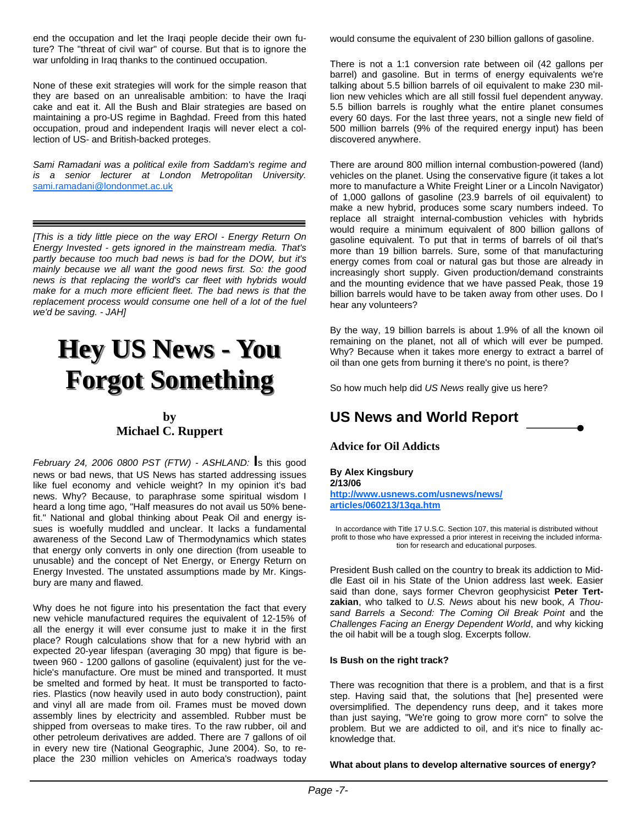end the occupation and let the Iraqi people decide their own future? The "threat of civil war" of course. But that is to ignore the war unfolding in Iraq thanks to the continued occupation.

None of these exit strategies will work for the simple reason that they are based on an unrealisable ambition: to have the Iraqi cake and eat it. All the Bush and Blair strategies are based on maintaining a pro-US regime in Baghdad. Freed from this hated occupation, proud and independent Iraqis will never elect a collection of US- and British-backed proteges.

*Sami Ramadani was a political exile from Saddam's regime and is a senior lecturer at London Metropolitan University.* sami.ramadani@londonmet.ac.uk

*[This is a tidy little piece on the way EROI - Energy Return On Energy Invested - gets ignored in the mainstream media. That's partly because too much bad news is bad for the DOW, but it's mainly because we all want the good news first. So: the good news is that replacing the world's car fleet with hybrids would make for a much more efficient fleet. The bad news is that the replacement process would consume one hell of a lot of the fuel we'd be saving. - JAH]*

# **Hey US News - You Forgot Something Forgot Something**

#### **by Michael C. Ruppert**

*February 24, 2006 0800 PST (FTW) - ASHLAND:* **I**s this good news or bad news, that US News has started addressing issues like fuel economy and vehicle weight? In my opinion it's bad news. Why? Because, to paraphrase some spiritual wisdom I heard a long time ago, "Half measures do not avail us 50% benefit." National and global thinking about Peak Oil and energy issues is woefully muddled and unclear. It lacks a fundamental awareness of the Second Law of Thermodynamics which states that energy only converts in only one direction (from useable to unusable) and the concept of Net Energy, or Energy Return on Energy Invested. The unstated assumptions made by Mr. Kingsbury are many and flawed.

Why does he not figure into his presentation the fact that every new vehicle manufactured requires the equivalent of 12-15% of all the energy it will ever consume just to make it in the first place? Rough calculations show that for a new hybrid with an expected 20-year lifespan (averaging 30 mpg) that figure is between 960 - 1200 gallons of gasoline (equivalent) just for the vehicle's manufacture. Ore must be mined and transported. It must be smelted and formed by heat. It must be transported to factories. Plastics (now heavily used in auto body construction), paint and vinyl all are made from oil. Frames must be moved down assembly lines by electricity and assembled. Rubber must be shipped from overseas to make tires. To the raw rubber, oil and other petroleum derivatives are added. There are 7 gallons of oil in every new tire (National Geographic, June 2004). So, to replace the 230 million vehicles on America's roadways today would consume the equivalent of 230 billion gallons of gasoline.

There is not a 1:1 conversion rate between oil (42 gallons per barrel) and gasoline. But in terms of energy equivalents we're talking about 5.5 billion barrels of oil equivalent to make 230 million new vehicles which are all still fossil fuel dependent anyway. 5.5 billion barrels is roughly what the entire planet consumes every 60 days. For the last three years, not a single new field of 500 million barrels (9% of the required energy input) has been discovered anywhere.

There are around 800 million internal combustion-powered (land) vehicles on the planet. Using the conservative figure (it takes a lot more to manufacture a White Freight Liner or a Lincoln Navigator) of 1,000 gallons of gasoline (23.9 barrels of oil equivalent) to make a new hybrid, produces some scary numbers indeed. To replace all straight internal-combustion vehicles with hybrids would require a minimum equivalent of 800 billion gallons of gasoline equivalent. To put that in terms of barrels of oil that's more than 19 billion barrels. Sure, some of that manufacturing energy comes from coal or natural gas but those are already in increasingly short supply. Given production/demand constraints and the mounting evidence that we have passed Peak, those 19 billion barrels would have to be taken away from other uses. Do I hear any volunteers?

By the way, 19 billion barrels is about 1.9% of all the known oil remaining on the planet, not all of which will ever be pumped. Why? Because when it takes more energy to extract a barrel of oil than one gets from burning it there's no point, is there?

So how much help did *US News* really give us here?

### **US News and World Report**

#### **Advice for Oil Addicts**

**By Alex Kingsbury 2/13/06 http://www.usnews.com/usnews/news/ articles/060213/13qa.htm**

In accordance with Title 17 U.S.C. Section 107, this material is distributed without profit to those who have expressed a prior interest in receiving the included information for research and educational purposes.

President Bush called on the country to break its addiction to Middle East oil in his State of the Union address last week. Easier said than done, says former Chevron geophysicist **Peter Tertzakian**, who talked to *U.S. News* about his new book, *A Thousand Barrels a Second: The Coming Oil Break Point* and the *Challenges Facing an Energy Dependent World*, and why kicking the oil habit will be a tough slog. Excerpts follow.

#### **Is Bush on the right track?**

There was recognition that there is a problem, and that is a first step. Having said that, the solutions that [he] presented were oversimplified. The dependency runs deep, and it takes more than just saying, "We're going to grow more corn" to solve the problem. But we are addicted to oil, and it's nice to finally acknowledge that.

#### **What about plans to develop alternative sources of energy?**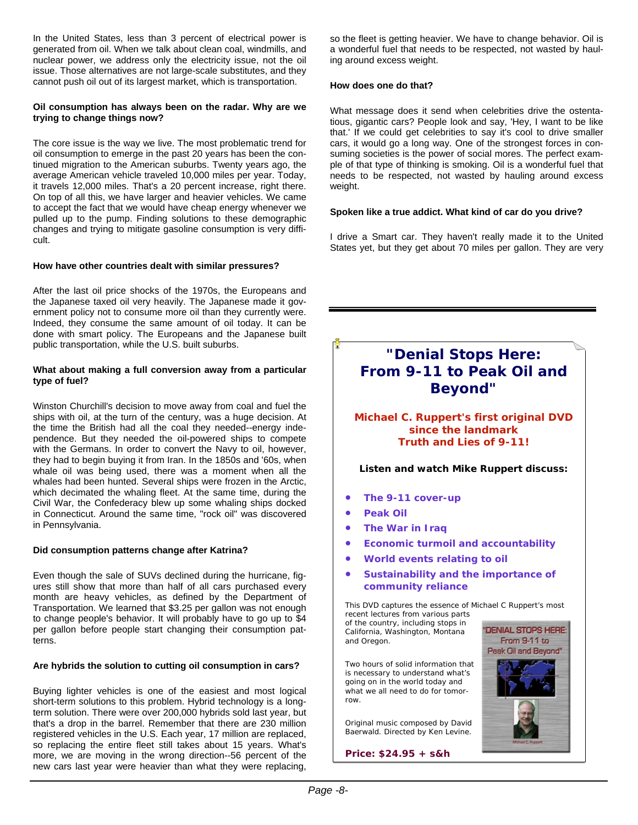In the United States, less than 3 percent of electrical power is generated from oil. When we talk about clean coal, windmills, and nuclear power, we address only the electricity issue, not the oil issue. Those alternatives are not large-scale substitutes, and they cannot push oil out of its largest market, which is transportation.

#### **Oil consumption has always been on the radar. Why are we trying to change things now?**

The core issue is the way we live. The most problematic trend for oil consumption to emerge in the past 20 years has been the continued migration to the American suburbs. Twenty years ago, the average American vehicle traveled 10,000 miles per year. Today, it travels 12,000 miles. That's a 20 percent increase, right there. On top of all this, we have larger and heavier vehicles. We came to accept the fact that we would have cheap energy whenever we pulled up to the pump. Finding solutions to these demographic changes and trying to mitigate gasoline consumption is very difficult.

#### **How have other countries dealt with similar pressures?**

After the last oil price shocks of the 1970s, the Europeans and the Japanese taxed oil very heavily. The Japanese made it government policy not to consume more oil than they currently were. Indeed, they consume the same amount of oil today. It can be done with smart policy. The Europeans and the Japanese built public transportation, while the U.S. built suburbs.

#### **What about making a full conversion away from a particular type of fuel?**

Winston Churchill's decision to move away from coal and fuel the ships with oil, at the turn of the century, was a huge decision. At the time the British had all the coal they needed--energy independence. But they needed the oil-powered ships to compete with the Germans. In order to convert the Navy to oil, however, they had to begin buying it from Iran. In the 1850s and '60s, when whale oil was being used, there was a moment when all the whales had been hunted. Several ships were frozen in the Arctic, which decimated the whaling fleet. At the same time, during the Civil War, the Confederacy blew up some whaling ships docked in Connecticut. Around the same time, "rock oil" was discovered in Pennsylvania.

#### **Did consumption patterns change after Katrina?**

Even though the sale of SUVs declined during the hurricane, figures still show that more than half of all cars purchased every month are heavy vehicles, as defined by the Department of Transportation. We learned that \$3.25 per gallon was not enough to change people's behavior. It will probably have to go up to \$4 per gallon before people start changing their consumption patterns.

#### **Are hybrids the solution to cutting oil consumption in cars?**

Buying lighter vehicles is one of the easiest and most logical short-term solutions to this problem. Hybrid technology is a longterm solution. There were over 200,000 hybrids sold last year, but that's a drop in the barrel. Remember that there are 230 million registered vehicles in the U.S. Each year, 17 million are replaced, so replacing the entire fleet still takes about 15 years. What's more, we are moving in the wrong direction--56 percent of the new cars last year were heavier than what they were replacing,

so the fleet is getting heavier. We have to change behavior. Oil is a wonderful fuel that needs to be respected, not wasted by hauling around excess weight.

#### **How does one do that?**

What message does it send when celebrities drive the ostentatious, gigantic cars? People look and say, 'Hey, I want to be like that.' If we could get celebrities to say it's cool to drive smaller cars, it would go a long way. One of the strongest forces in consuming societies is the power of social mores. The perfect example of that type of thinking is smoking. Oil is a wonderful fuel that needs to be respected, not wasted by hauling around excess weight.

#### **Spoken like a true addict. What kind of car do you drive?**

I drive a Smart car. They haven't really made it to the United States yet, but they get about 70 miles per gallon. They are very

### **"Denial Stops Here: From 9-11 to Peak Oil and Beyond"**

*Michael C. Ruppert's first original DVD since the landmark Truth and Lies of 9-11!*

**Listen and watch Mike Ruppert discuss:**

- **The 9-11 cover-up**
- **Peak Oil**
- **The War in Iraq**
- **Economic turmoil and accountability**
- **World events relating to oil**
- **Sustainability and the importance of community reliance**

This DVD captures the essence of Michael C Ruppert's most recent lectures from various parts

of the country, including stops in California, Washington, Montana and Oregon.

Two hours of solid information that is necessary to understand what's going on in the world today and what we all need to do for tomorrow.

Original music composed by David Baerwald. Directed by Ken Levine.

**Price: \$24.95 + s&h**

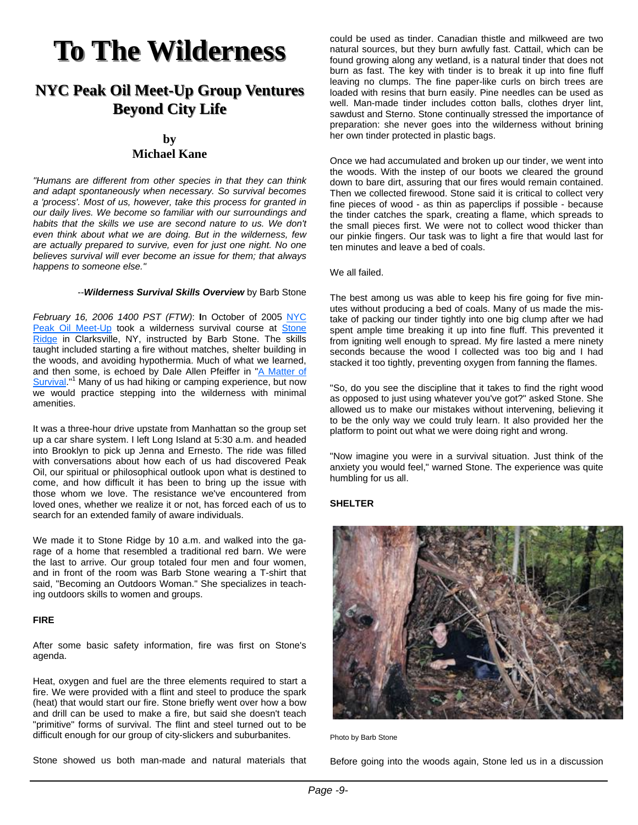# **To The Wilderness To The Wilderness**

### **NYC Peak Oil Meet-Up Group Ventures Beyond City Life Beyond City Life**

#### **by**

#### **Michael Kane**

*"Humans are different from other species in that they can think and adapt spontaneously when necessary. So survival becomes a 'process'. Most of us, however, take this process for granted in our daily lives. We become so familiar with our surroundings and*  habits that the skills we use are second nature to us. We don't *even think about what we are doing. But in the wilderness, few are actually prepared to survive, even for just one night. No one believes survival will ever become an issue for them; that always happens to someone else."*

#### --*Wilderness Survival Skills Overview* by Barb Stone

*February 16, 2006 1400 PST (FTW)*: **I**n October of 2005 NYC Peak Oil Meet-Up took a wilderness survival course at Stone Ridge in Clarksville, NY, instructed by Barb Stone. The skills taught included starting a fire without matches, shelter building in the woods, and avoiding hypothermia. Much of what we learned, and then some, is echoed by Dale Allen Pfeiffer in "A Matter of Survival."<sup>1</sup> Many of us had hiking or camping experience, but now we would practice stepping into the wilderness with minimal amenities.

It was a three-hour drive upstate from Manhattan so the group set up a car share system. I left Long Island at 5:30 a.m. and headed into Brooklyn to pick up Jenna and Ernesto. The ride was filled with conversations about how each of us had discovered Peak Oil, our spiritual or philosophical outlook upon what is destined to come, and how difficult it has been to bring up the issue with those whom we love. The resistance we've encountered from loved ones, whether we realize it or not, has forced each of us to search for an extended family of aware individuals.

We made it to Stone Ridge by 10 a.m. and walked into the garage of a home that resembled a traditional red barn. We were the last to arrive. Our group totaled four men and four women, and in front of the room was Barb Stone wearing a T-shirt that said, "Becoming an Outdoors Woman." She specializes in teaching outdoors skills to women and groups.

#### **FIRE**

After some basic safety information, fire was first on Stone's agenda.

Heat, oxygen and fuel are the three elements required to start a fire. We were provided with a flint and steel to produce the spark (heat) that would start our fire. Stone briefly went over how a bow and drill can be used to make a fire, but said she doesn't teach "primitive" forms of survival. The flint and steel turned out to be difficult enough for our group of city-slickers and suburbanites.

Stone showed us both man-made and natural materials that

could be used as tinder. Canadian thistle and milkweed are two natural sources, but they burn awfully fast. Cattail, which can be found growing along any wetland, is a natural tinder that does not burn as fast. The key with tinder is to break it up into fine fluff leaving no clumps. The fine paper-like curls on birch trees are loaded with resins that burn easily. Pine needles can be used as well. Man-made tinder includes cotton balls, clothes dryer lint, sawdust and Sterno. Stone continually stressed the importance of preparation: she never goes into the wilderness without brining her own tinder protected in plastic bags.

Once we had accumulated and broken up our tinder, we went into the woods. With the instep of our boots we cleared the ground down to bare dirt, assuring that our fires would remain contained. Then we collected firewood. Stone said it is critical to collect very fine pieces of wood - as thin as paperclips if possible - because the tinder catches the spark, creating a flame, which spreads to the small pieces first. We were not to collect wood thicker than our pinkie fingers. Our task was to light a fire that would last for ten minutes and leave a bed of coals.

#### We all failed.

The best among us was able to keep his fire going for five minutes without producing a bed of coals. Many of us made the mistake of packing our tinder tightly into one big clump after we had spent ample time breaking it up into fine fluff. This prevented it from igniting well enough to spread. My fire lasted a mere ninety seconds because the wood I collected was too big and I had stacked it too tightly, preventing oxygen from fanning the flames.

"So, do you see the discipline that it takes to find the right wood as opposed to just using whatever you've got?" asked Stone. She allowed us to make our mistakes without intervening, believing it to be the only way we could truly learn. It also provided her the platform to point out what we were doing right and wrong.

"Now imagine you were in a survival situation. Just think of the anxiety you would feel," warned Stone. The experience was quite humbling for us all.

#### **SHELTER**



Photo by Barb Stone

Before going into the woods again, Stone led us in a discussion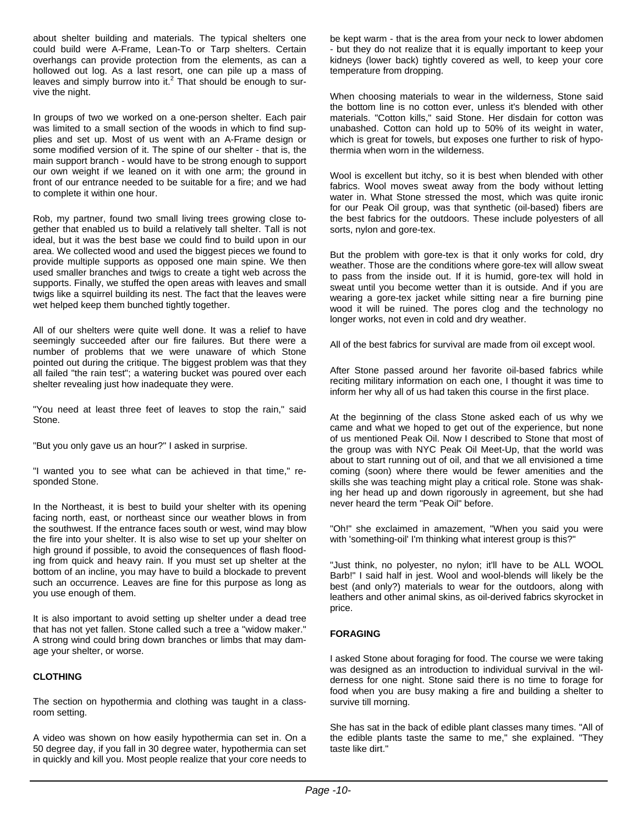about shelter building and materials. The typical shelters one could build were A-Frame, Lean-To or Tarp shelters. Certain overhangs can provide protection from the elements, as can a hollowed out log. As a last resort, one can pile up a mass of leaves and simply burrow into it. $<sup>2</sup>$  That should be enough to sur-</sup> vive the night.

In groups of two we worked on a one-person shelter. Each pair was limited to a small section of the woods in which to find supplies and set up. Most of us went with an A-Frame design or some modified version of it. The spine of our shelter - that is, the main support branch - would have to be strong enough to support our own weight if we leaned on it with one arm; the ground in front of our entrance needed to be suitable for a fire; and we had to complete it within one hour.

Rob, my partner, found two small living trees growing close together that enabled us to build a relatively tall shelter. Tall is not ideal, but it was the best base we could find to build upon in our area. We collected wood and used the biggest pieces we found to provide multiple supports as opposed one main spine. We then used smaller branches and twigs to create a tight web across the supports. Finally, we stuffed the open areas with leaves and small twigs like a squirrel building its nest. The fact that the leaves were wet helped keep them bunched tightly together.

All of our shelters were quite well done. It was a relief to have seemingly succeeded after our fire failures. But there were a number of problems that we were unaware of which Stone pointed out during the critique. The biggest problem was that they all failed "the rain test"; a watering bucket was poured over each shelter revealing just how inadequate they were.

"You need at least three feet of leaves to stop the rain," said Stone.

"But you only gave us an hour?" I asked in surprise.

"I wanted you to see what can be achieved in that time," responded Stone.

In the Northeast, it is best to build your shelter with its opening facing north, east, or northeast since our weather blows in from the southwest. If the entrance faces south or west, wind may blow the fire into your shelter. It is also wise to set up your shelter on high ground if possible, to avoid the consequences of flash flooding from quick and heavy rain. If you must set up shelter at the bottom of an incline, you may have to build a blockade to prevent such an occurrence. Leaves are fine for this purpose as long as you use enough of them.

It is also important to avoid setting up shelter under a dead tree that has not yet fallen. Stone called such a tree a "widow maker." A strong wind could bring down branches or limbs that may damage your shelter, or worse.

#### **CLOTHING**

The section on hypothermia and clothing was taught in a classroom setting.

A video was shown on how easily hypothermia can set in. On a 50 degree day, if you fall in 30 degree water, hypothermia can set in quickly and kill you. Most people realize that your core needs to be kept warm - that is the area from your neck to lower abdomen - but they do not realize that it is equally important to keep your kidneys (lower back) tightly covered as well, to keep your core temperature from dropping.

When choosing materials to wear in the wilderness, Stone said the bottom line is no cotton ever, unless it's blended with other materials. "Cotton kills," said Stone. Her disdain for cotton was unabashed. Cotton can hold up to 50% of its weight in water, which is great for towels, but exposes one further to risk of hypothermia when worn in the wilderness.

Wool is excellent but itchy, so it is best when blended with other fabrics. Wool moves sweat away from the body without letting water in. What Stone stressed the most, which was quite ironic for our Peak Oil group, was that synthetic (oil-based) fibers are the best fabrics for the outdoors. These include polyesters of all sorts, nylon and gore-tex.

But the problem with gore-tex is that it only works for cold, dry weather. Those are the conditions where gore-tex will allow sweat to pass from the inside out. If it is humid, gore-tex will hold in sweat until you become wetter than it is outside. And if you are wearing a gore-tex jacket while sitting near a fire burning pine wood it will be ruined. The pores clog and the technology no longer works, not even in cold and dry weather.

All of the best fabrics for survival are made from oil except wool.

After Stone passed around her favorite oil-based fabrics while reciting military information on each one, I thought it was time to inform her why all of us had taken this course in the first place.

At the beginning of the class Stone asked each of us why we came and what we hoped to get out of the experience, but none of us mentioned Peak Oil. Now I described to Stone that most of the group was with NYC Peak Oil Meet-Up, that the world was about to start running out of oil, and that we all envisioned a time coming (soon) where there would be fewer amenities and the skills she was teaching might play a critical role. Stone was shaking her head up and down rigorously in agreement, but she had never heard the term "Peak Oil" before.

"Oh!" she exclaimed in amazement, "When you said you were with 'something-oil' I'm thinking what interest group is this?"

"Just think, no polyester, no nylon; it'll have to be ALL WOOL Barb!" I said half in jest. Wool and wool-blends will likely be the best (and only?) materials to wear for the outdoors, along with leathers and other animal skins, as oil-derived fabrics skyrocket in price.

#### **FORAGING**

I asked Stone about foraging for food. The course we were taking was designed as an introduction to individual survival in the wilderness for one night. Stone said there is no time to forage for food when you are busy making a fire and building a shelter to survive till morning.

She has sat in the back of edible plant classes many times. "All of the edible plants taste the same to me," she explained. "They taste like dirt."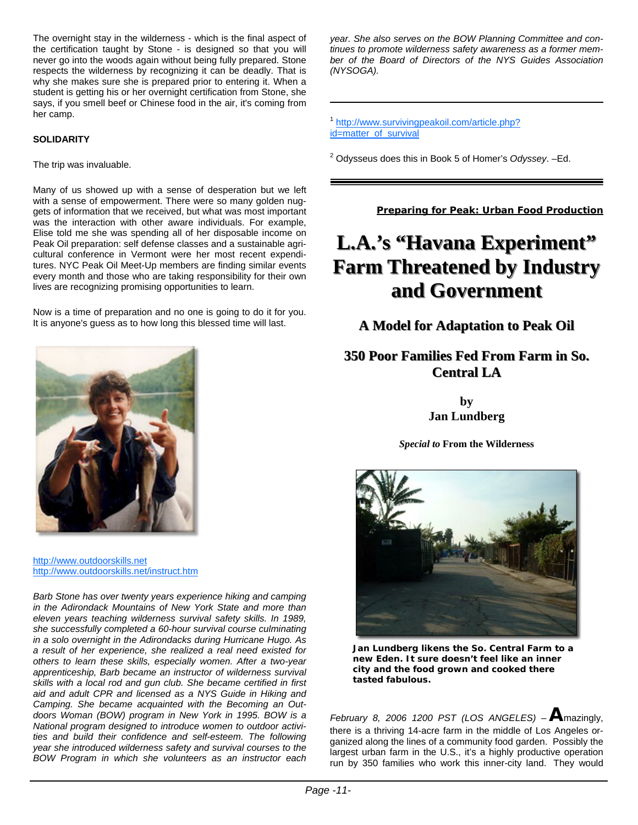The overnight stay in the wilderness - which is the final aspect of the certification taught by Stone - is designed so that you will never go into the woods again without being fully prepared. Stone respects the wilderness by recognizing it can be deadly. That is why she makes sure she is prepared prior to entering it. When a student is getting his or her overnight certification from Stone, she says, if you smell beef or Chinese food in the air, it's coming from her camp.

#### **SOLIDARITY**

The trip was invaluable.

Many of us showed up with a sense of desperation but we left with a sense of empowerment. There were so many golden nuggets of information that we received, but what was most important was the interaction with other aware individuals. For example, Elise told me she was spending all of her disposable income on Peak Oil preparation: self defense classes and a sustainable agricultural conference in Vermont were her most recent expenditures. NYC Peak Oil Meet-Up members are finding similar events every month and those who are taking responsibility for their own lives are recognizing promising opportunities to learn.

Now is a time of preparation and no one is going to do it for you. It is anyone's guess as to how long this blessed time will last.



http://www.outdoorskills.net http://www.outdoorskills.net/instruct.htm

*Barb Stone has over twenty years experience hiking and camping in the Adirondack Mountains of New York State and more than eleven years teaching wilderness survival safety skills. In 1989, she successfully completed a 60-hour survival course culminating in a solo overnight in the Adirondacks during Hurricane Hugo. As a result of her experience, she realized a real need existed for others to learn these skills, especially women. After a two-year apprenticeship, Barb became an instructor of wilderness survival skills with a local rod and gun club. She became certified in first aid and adult CPR and licensed as a NYS Guide in Hiking and Camping. She became acquainted with the Becoming an Outdoors Woman (BOW) program in New York in 1995. BOW is a National program designed to introduce women to outdoor activities and build their confidence and self-esteem. The following year she introduced wilderness safety and survival courses to the BOW Program in which she volunteers as an instructor each* 

*year. She also serves on the BOW Planning Committee and continues to promote wilderness safety awareness as a former member of the Board of Directors of the NYS Guides Association (NYSOGA).*

<sup>1</sup> http://www.survivingpeakoil.com/article.php? id=matter\_of\_survival

2 Odysseus does this in Book 5 of Homer's *Odyssey*. –Ed.

**Preparing for Peak: Urban Food Production**

# **L.A.'s "Havana Experiment" L.A.'s "Havana Experiment" Farm Threatened by Industry Farm Threatened by Industry and Government and Government**

**A Model for Adaptation to Peak Oil A Model for Adaptation to Peak Oil**

### **350 Poor Families Fed From Farm in So. 350 Poor Families Fed From Farm in So. Central LA Central LA**

**by Jan Lundberg**

*Special to* **From the Wilderness**



**Jan Lundberg likens the So. Central Farm to a new Eden. It sure doesn't feel like an inner city and the food grown and cooked there tasted fabulous.** 

*February 8, 2006 1200 PST (LOS ANGELES)* – **A**mazingly, there is a thriving 14-acre farm in the middle of Los Angeles organized along the lines of a community food garden. Possibly the largest urban farm in the U.S., it's a highly productive operation run by 350 families who work this inner-city land. They would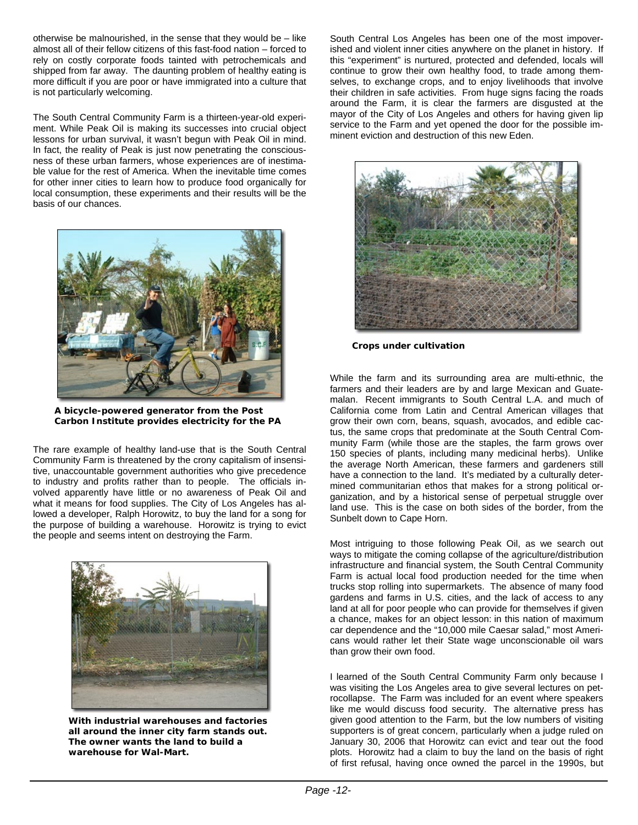otherwise be malnourished, in the sense that they would be  $-$  like almost all of their fellow citizens of this fast-food nation – forced to rely on costly corporate foods tainted with petrochemicals and shipped from far away. The daunting problem of healthy eating is more difficult if you are poor or have immigrated into a culture that is not particularly welcoming.

The South Central Community Farm is a thirteen-year-old experiment. While Peak Oil is making its successes into crucial object lessons for urban survival, it wasn't begun with Peak Oil in mind. In fact, the reality of Peak is just now penetrating the consciousness of these urban farmers, whose experiences are of inestimable value for the rest of America. When the inevitable time comes for other inner cities to learn how to produce food organically for local consumption, these experiments and their results will be the basis of our chances.



**A bicycle-powered generator from the Post Carbon Institute provides electricity for the PA** 

The rare example of healthy land-use that is the South Central Community Farm is threatened by the crony capitalism of insensitive, unaccountable government authorities who give precedence to industry and profits rather than to people. The officials involved apparently have little or no awareness of Peak Oil and what it means for food supplies. The City of Los Angeles has allowed a developer, Ralph Horowitz, to buy the land for a song for the purpose of building a warehouse. Horowitz is trying to evict the people and seems intent on destroying the Farm.



**With industrial warehouses and factories all around the inner city farm stands out. The owner wants the land to build a warehouse for Wal-Mart.** 

South Central Los Angeles has been one of the most impoverished and violent inner cities anywhere on the planet in history. If this "experiment" is nurtured, protected and defended, locals will continue to grow their own healthy food, to trade among themselves, to exchange crops, and to enjoy livelihoods that involve their children in safe activities. From huge signs facing the roads around the Farm, it is clear the farmers are disgusted at the mayor of the City of Los Angeles and others for having given lip service to the Farm and yet opened the door for the possible imminent eviction and destruction of this new Eden.



**Crops under cultivation** 

While the farm and its surrounding area are multi-ethnic, the farmers and their leaders are by and large Mexican and Guatemalan. Recent immigrants to South Central L.A. and much of California come from Latin and Central American villages that grow their own corn, beans, squash, avocados, and edible cactus, the same crops that predominate at the South Central Community Farm (while those are the staples, the farm grows over 150 species of plants, including many medicinal herbs). Unlike the average North American, these farmers and gardeners still have a connection to the land. It's mediated by a culturally determined communitarian ethos that makes for a strong political organization, and by a historical sense of perpetual struggle over land use. This is the case on both sides of the border, from the Sunbelt down to Cape Horn.

Most intriguing to those following Peak Oil, as we search out ways to mitigate the coming collapse of the agriculture/distribution infrastructure and financial system, the South Central Community Farm is actual local food production needed for the time when trucks stop rolling into supermarkets. The absence of many food gardens and farms in U.S. cities, and the lack of access to any land at all for poor people who can provide for themselves if given a chance, makes for an object lesson: in this nation of maximum car dependence and the "10,000 mile Caesar salad," most Americans would rather let their State wage unconscionable oil wars than grow their own food.

I learned of the South Central Community Farm only because I was visiting the Los Angeles area to give several lectures on petrocollapse. The Farm was included for an event where speakers like me would discuss food security. The alternative press has given good attention to the Farm, but the low numbers of visiting supporters is of great concern, particularly when a judge ruled on January 30, 2006 that Horowitz can evict and tear out the food plots. Horowitz had a claim to buy the land on the basis of right of first refusal, having once owned the parcel in the 1990s, but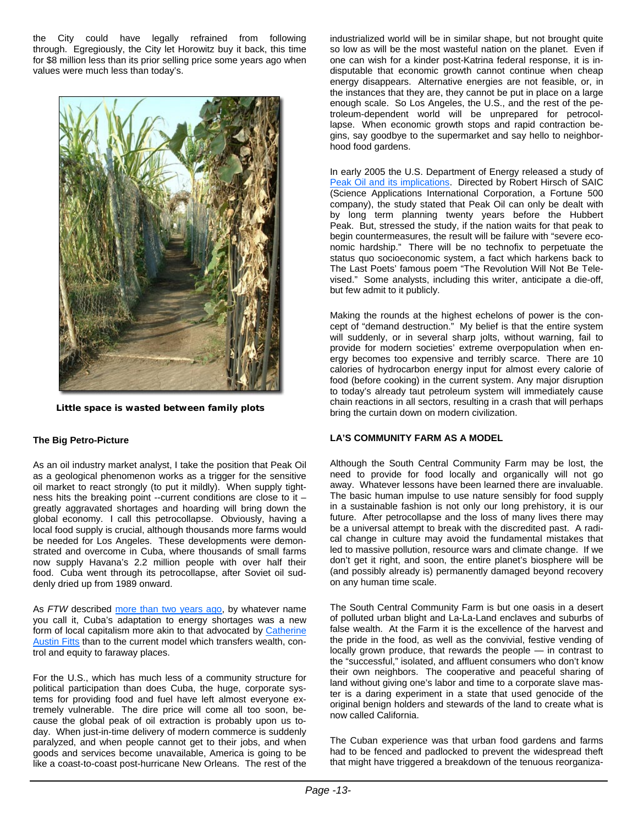the City could have legally refrained from following through. Egregiously, the City let Horowitz buy it back, this time for \$8 million less than its prior selling price some years ago when values were much less than today's.



**Little space is wasted between family plots** 

#### **The Big Petro-Picture**

As an oil industry market analyst, I take the position that Peak Oil as a geological phenomenon works as a trigger for the sensitive oil market to react strongly (to put it mildly). When supply tightness hits the breaking point --current conditions are close to it – greatly aggravated shortages and hoarding will bring down the global economy. I call this petrocollapse. Obviously, having a local food supply is crucial, although thousands more farms would be needed for Los Angeles. These developments were demonstrated and overcome in Cuba, where thousands of small farms now supply Havana's 2.2 million people with over half their food. Cuba went through its petrocollapse, after Soviet oil suddenly dried up from 1989 onward.

As FTW described more than two years ago, by whatever name you call it, Cuba's adaptation to energy shortages was a new form of local capitalism more akin to that advocated by Catherine Austin Fitts than to the current model which transfers wealth, control and equity to faraway places.

For the U.S., which has much less of a community structure for political participation than does Cuba, the huge, corporate systems for providing food and fuel have left almost everyone extremely vulnerable. The dire price will come all too soon, because the global peak of oil extraction is probably upon us today. When just-in-time delivery of modern commerce is suddenly paralyzed, and when people cannot get to their jobs, and when goods and services become unavailable, America is going to be like a coast-to-coast post-hurricane New Orleans. The rest of the industrialized world will be in similar shape, but not brought quite so low as will be the most wasteful nation on the planet. Even if one can wish for a kinder post-Katrina federal response, it is indisputable that economic growth cannot continue when cheap energy disappears. Alternative energies are not feasible, or, in the instances that they are, they cannot be put in place on a large enough scale. So Los Angeles, the U.S., and the rest of the petroleum-dependent world will be unprepared for petrocollapse. When economic growth stops and rapid contraction begins, say goodbye to the supermarket and say hello to neighborhood food gardens.

In early 2005 the U.S. Department of Energy released a study of Peak Oil and its implications. Directed by Robert Hirsch of SAIC (Science Applications International Corporation, a Fortune 500 company), the study stated that Peak Oil can only be dealt with by long term planning twenty years before the Hubbert Peak. But, stressed the study, if the nation waits for that peak to begin countermeasures, the result will be failure with "severe economic hardship." There will be no technofix to perpetuate the status quo socioeconomic system, a fact which harkens back to The Last Poets' famous poem "The Revolution Will Not Be Televised." Some analysts, including this writer, anticipate a die-off, but few admit to it publicly.

Making the rounds at the highest echelons of power is the concept of "demand destruction." My belief is that the entire system will suddenly, or in several sharp jolts, without warning, fail to provide for modern societies' extreme overpopulation when energy becomes too expensive and terribly scarce. There are 10 calories of hydrocarbon energy input for almost every calorie of food (before cooking) in the current system. Any major disruption to today's already taut petroleum system will immediately cause chain reactions in all sectors, resulting in a crash that will perhaps bring the curtain down on modern civilization.

#### **LA'S COMMUNITY FARM AS A MODEL**

Although the South Central Community Farm may be lost, the need to provide for food locally and organically will not go away. Whatever lessons have been learned there are invaluable. The basic human impulse to use nature sensibly for food supply in a sustainable fashion is not only our long prehistory, it is our future. After petrocollapse and the loss of many lives there may be a universal attempt to break with the discredited past. A radical change in culture may avoid the fundamental mistakes that led to massive pollution, resource wars and climate change. If we don't get it right, and soon, the entire planet's biosphere will be (and possibly already is) permanently damaged beyond recovery on any human time scale.

The South Central Community Farm is but one oasis in a desert of polluted urban blight and La-La-Land enclaves and suburbs of false wealth. At the Farm it is the excellence of the harvest and the pride in the food, as well as the convivial, festive vending of locally grown produce, that rewards the people — in contrast to the "successful," isolated, and affluent consumers who don't know their own neighbors. The cooperative and peaceful sharing of land without giving one's labor and time to a corporate slave master is a daring experiment in a state that used genocide of the original benign holders and stewards of the land to create what is now called California.

The Cuban experience was that urban food gardens and farms had to be fenced and padlocked to prevent the widespread theft that might have triggered a breakdown of the tenuous reorganiza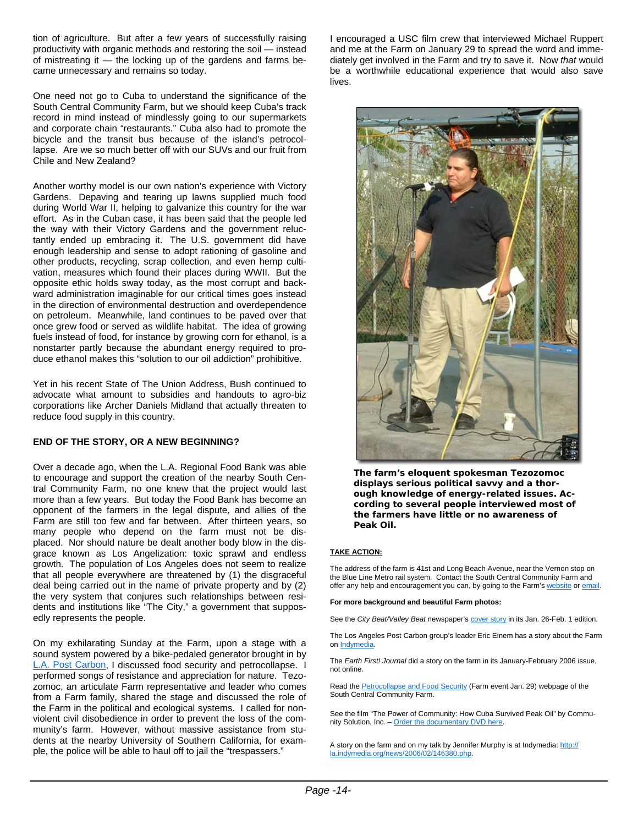tion of agriculture. But after a few years of successfully raising productivity with organic methods and restoring the soil — instead of mistreating it — the locking up of the gardens and farms became unnecessary and remains so today.

One need not go to Cuba to understand the significance of the South Central Community Farm, but we should keep Cuba's track record in mind instead of mindlessly going to our supermarkets and corporate chain "restaurants." Cuba also had to promote the bicycle and the transit bus because of the island's petrocollapse. Are we so much better off with our SUVs and our fruit from Chile and New Zealand?

Another worthy model is our own nation's experience with Victory Gardens. Depaving and tearing up lawns supplied much food during World War II, helping to galvanize this country for the war effort. As in the Cuban case, it has been said that the people led the way with their Victory Gardens and the government reluctantly ended up embracing it. The U.S. government did have enough leadership and sense to adopt rationing of gasoline and other products, recycling, scrap collection, and even hemp cultivation, measures which found their places during WWII. But the opposite ethic holds sway today, as the most corrupt and backward administration imaginable for our critical times goes instead in the direction of environmental destruction and overdependence on petroleum. Meanwhile, land continues to be paved over that once grew food or served as wildlife habitat. The idea of growing fuels instead of food, for instance by growing corn for ethanol, is a nonstarter partly because the abundant energy required to produce ethanol makes this "solution to our oil addiction" prohibitive.

Yet in his recent State of The Union Address, Bush continued to advocate what amount to subsidies and handouts to agro-biz corporations like Archer Daniels Midland that actually threaten to reduce food supply in this country.

#### **END OF THE STORY, OR A NEW BEGINNING?**

Over a decade ago, when the L.A. Regional Food Bank was able to encourage and support the creation of the nearby South Central Community Farm, no one knew that the project would last more than a few years. But today the Food Bank has become an opponent of the farmers in the legal dispute, and allies of the Farm are still too few and far between. After thirteen years, so many people who depend on the farm must not be displaced. Nor should nature be dealt another body blow in the disgrace known as Los Angelization: toxic sprawl and endless growth. The population of Los Angeles does not seem to realize that all people everywhere are threatened by (1) the disgraceful deal being carried out in the name of private property and by (2) the very system that conjures such relationships between residents and institutions like "The City," a government that supposedly represents the people.

On my exhilarating Sunday at the Farm, upon a stage with a sound system powered by a bike-pedaled generator brought in by L.A. Post Carbon, I discussed food security and petrocollapse. I performed songs of resistance and appreciation for nature. Tezozomoc, an articulate Farm representative and leader who comes from a Farm family, shared the stage and discussed the role of the Farm in the political and ecological systems. I called for nonviolent civil disobedience in order to prevent the loss of the community's farm. However, without massive assistance from students at the nearby University of Southern California, for example, the police will be able to haul off to jail the "trespassers."

I encouraged a USC film crew that interviewed Michael Ruppert and me at the Farm on January 29 to spread the word and immediately get involved in the Farm and try to save it. Now *that* would be a worthwhile educational experience that would also save lives.



**The farm's eloquent spokesman Tezozomoc displays serious political savvy and a thorough knowledge of energy-related issues. According to several people interviewed most of the farmers have little or no awareness of Peak Oil.** 

#### **TAKE ACTION:**

The address of the farm is 41st and Long Beach Avenue, near the Vernon stop on the Blue Line Metro rail system. Contact the South Central Community Farm and offer any help and encouragement you can, by going to the Farm's website or email.

 **For more background and beautiful Farm photos:** 

See the *City Beat/Valley Beat* newspaper's **cover story** in its Jan. 26-Feb. 1 edition.

The Los Angeles Post Carbon group's leader Eric Einem has a story about the Farm on Indymedia.

The *Earth First! Journal* did a story on the farm in its January-February 2006 issue, not online.

Read the **Petrocollapse and Food Security** (Farm event Jan. 29) webpage of the South Central Community Farm.

See the film "The Power of Community: How Cuba Survived Peak Oil" by Community Solution, Inc. - Order the documentary DVD here.

A story on the farm and on my talk by Jennifer Murphy is at Indymedia: http:// la.indymedia.org/news/2006/02/146380.php.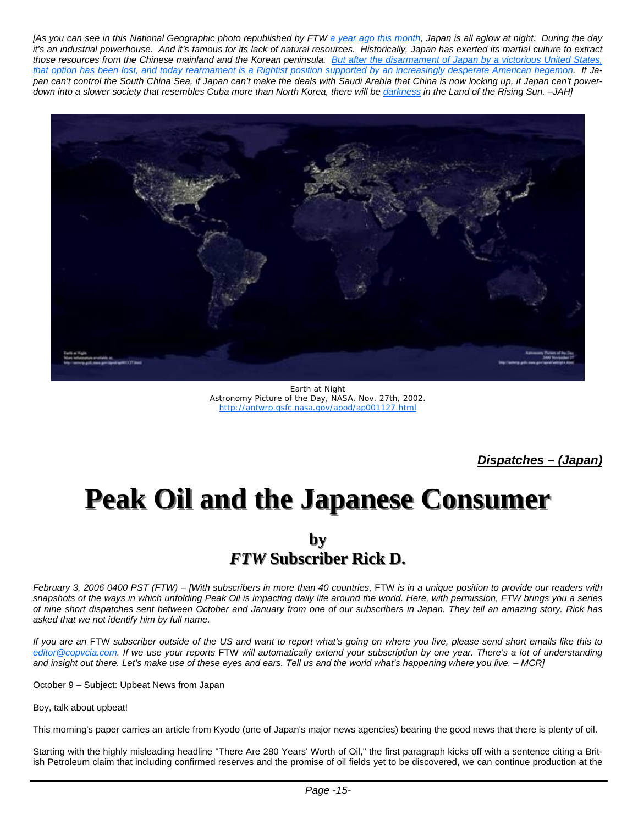*[As you can see in this National Geographic photo republished by FTW a year ago this month, Japan is all aglow at night. During the day it's an industrial powerhouse. And it's famous for its lack of natural resources. Historically, Japan has exerted its martial culture to extract those resources from the Chinese mainland and the Korean peninsula. But after the disarmament of Japan by a victorious United States, that option has been lost, and today rearmament is a Rightist position supported by an increasingly desperate American hegemon. If Japan can't control the South China Sea, if Japan can't make the deals with Saudi Arabia that China is now locking up, if Japan can't powerdown into a slower society that resembles Cuba more than North Korea, there will be darkness in the Land of the Rising Sun. –JAH]* 



Earth at Night Astronomy Picture of the Day, NASA, Nov. 27th, 2002. http://antwrp.gsfc.nasa.gov/apod/ap001127.html

*Dispatches – (Japan)*

# **Peak Oil and the Japanese Consumer Peak Oil and the Japanese Consumer**

**by**

# *FTW* Subscriber Rick D.

*February 3, 2006 0400 PST (FTW)* – *[With subscribers in more than 40 countries,* FTW *is in a unique position to provide our readers with snapshots of the ways in which unfolding Peak Oil is impacting daily life around the world. Here, with permission, FTW brings you a series of nine short dispatches sent between October and January from one of our subscribers in Japan. They tell an amazing story. Rick has asked that we not identify him by full name.*

*If you are an* FTW *subscriber outside of the US and want to report what's going on where you live, please send short emails like this to editor@copvcia.com. If we use your reports* FTW *will automatically extend your subscription by one year. There's a lot of understanding and insight out there. Let's make use of these eyes and ears. Tell us and the world what's happening where you live. – MCR]*

October 9 – Subject: Upbeat News from Japan

Boy, talk about upbeat!

This morning's paper carries an article from Kyodo (one of Japan's major news agencies) bearing the good news that there is plenty of oil.

Starting with the highly misleading headline "There Are 280 Years' Worth of Oil," the first paragraph kicks off with a sentence citing a British Petroleum claim that including confirmed reserves and the promise of oil fields yet to be discovered, we can continue production at the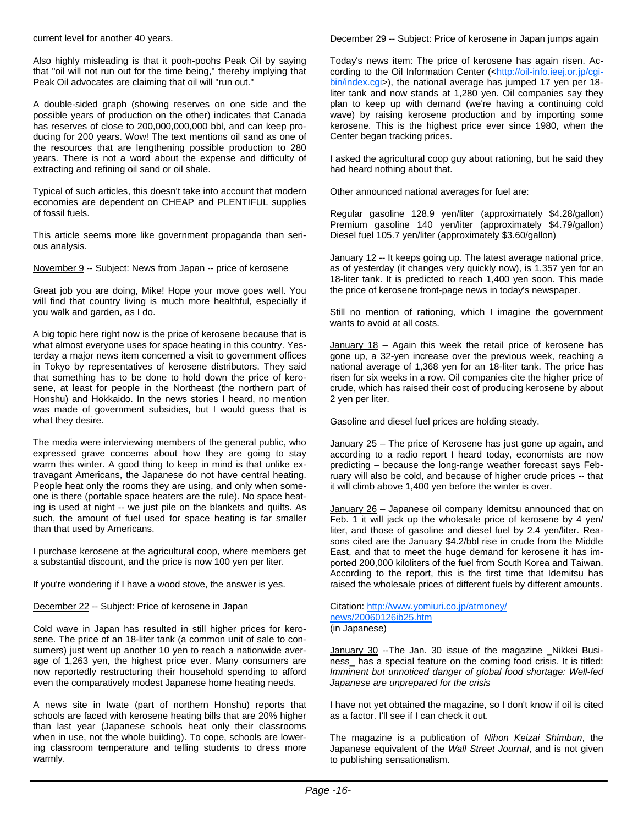current level for another 40 years.

Also highly misleading is that it pooh-poohs Peak Oil by saying that "oil will not run out for the time being," thereby implying that Peak Oil advocates are claiming that oil will "run out."

A double-sided graph (showing reserves on one side and the possible years of production on the other) indicates that Canada has reserves of close to 200,000,000,000 bbl, and can keep producing for 200 years. Wow! The text mentions oil sand as one of the resources that are lengthening possible production to 280 years. There is not a word about the expense and difficulty of extracting and refining oil sand or oil shale.

Typical of such articles, this doesn't take into account that modern economies are dependent on CHEAP and PLENTIFUL supplies of fossil fuels.

This article seems more like government propaganda than serious analysis.

November 9 -- Subject: News from Japan -- price of kerosene

Great job you are doing, Mike! Hope your move goes well. You will find that country living is much more healthful, especially if you walk and garden, as I do.

A big topic here right now is the price of kerosene because that is what almost everyone uses for space heating in this country. Yesterday a major news item concerned a visit to government offices in Tokyo by representatives of kerosene distributors. They said that something has to be done to hold down the price of kerosene, at least for people in the Northeast (the northern part of Honshu) and Hokkaido. In the news stories I heard, no mention was made of government subsidies, but I would guess that is what they desire.

The media were interviewing members of the general public, who expressed grave concerns about how they are going to stay warm this winter. A good thing to keep in mind is that unlike extravagant Americans, the Japanese do not have central heating. People heat only the rooms they are using, and only when someone is there (portable space heaters are the rule). No space heating is used at night -- we just pile on the blankets and quilts. As such, the amount of fuel used for space heating is far smaller than that used by Americans.

I purchase kerosene at the agricultural coop, where members get a substantial discount, and the price is now 100 yen per liter.

If you're wondering if I have a wood stove, the answer is yes.

December 22 -- Subject: Price of kerosene in Japan

Cold wave in Japan has resulted in still higher prices for kerosene. The price of an 18-liter tank (a common unit of sale to consumers) just went up another 10 yen to reach a nationwide average of 1,263 yen, the highest price ever. Many consumers are now reportedly restructuring their household spending to afford even the comparatively modest Japanese home heating needs.

A news site in Iwate (part of northern Honshu) reports that schools are faced with kerosene heating bills that are 20% higher than last year (Japanese schools heat only their classrooms when in use, not the whole building). To cope, schools are lowering classroom temperature and telling students to dress more warmly.

December 29 -- Subject: Price of kerosene in Japan jumps again

Today's news item: The price of kerosene has again risen. According to the Oil Information Center (<http://oil-info.ieej.or.jp/cgibin/index.cgi>), the national average has jumped 17 yen per 18liter tank and now stands at 1,280 yen. Oil companies say they plan to keep up with demand (we're having a continuing cold wave) by raising kerosene production and by importing some kerosene. This is the highest price ever since 1980, when the Center began tracking prices.

I asked the agricultural coop guy about rationing, but he said they had heard nothing about that.

Other announced national averages for fuel are:

Regular gasoline 128.9 yen/liter (approximately \$4.28/gallon) Premium gasoline 140 yen/liter (approximately \$4.79/gallon) Diesel fuel 105.7 yen/liter (approximately \$3.60/gallon)

January 12 -- It keeps going up. The latest average national price, as of yesterday (it changes very quickly now), is 1,357 yen for an 18-liter tank. It is predicted to reach 1,400 yen soon. This made the price of kerosene front-page news in today's newspaper.

Still no mention of rationing, which I imagine the government wants to avoid at all costs.

January 18 – Again this week the retail price of kerosene has gone up, a 32-yen increase over the previous week, reaching a national average of 1,368 yen for an 18-liter tank. The price has risen for six weeks in a row. Oil companies cite the higher price of crude, which has raised their cost of producing kerosene by about 2 yen per liter.

Gasoline and diesel fuel prices are holding steady.

January 25 – The price of Kerosene has just gone up again, and according to a radio report I heard today, economists are now predicting – because the long-range weather forecast says February will also be cold, and because of higher crude prices -- that it will climb above 1,400 yen before the winter is over.

January 26 – Japanese oil company Idemitsu announced that on Feb. 1 it will jack up the wholesale price of kerosene by 4 yen/ liter, and those of gasoline and diesel fuel by 2.4 yen/liter. Reasons cited are the January \$4.2/bbl rise in crude from the Middle East, and that to meet the huge demand for kerosene it has imported 200,000 kiloliters of the fuel from South Korea and Taiwan. According to the report, this is the first time that Idemitsu has raised the wholesale prices of different fuels by different amounts.

Citation: http://www.yomiuri.co.jp/atmoney/ news/20060126ib25.htm (in Japanese)

January 30 --The Jan. 30 issue of the magazine \_Nikkei Business\_ has a special feature on the coming food crisis. It is titled: *Imminent but unnoticed danger of global food shortage: Well-fed Japanese are unprepared for the crisis*

I have not yet obtained the magazine, so I don't know if oil is cited as a factor. I'll see if I can check it out.

The magazine is a publication of *Nihon Keizai Shimbun*, the Japanese equivalent of the *Wall Street Journal*, and is not given to publishing sensationalism.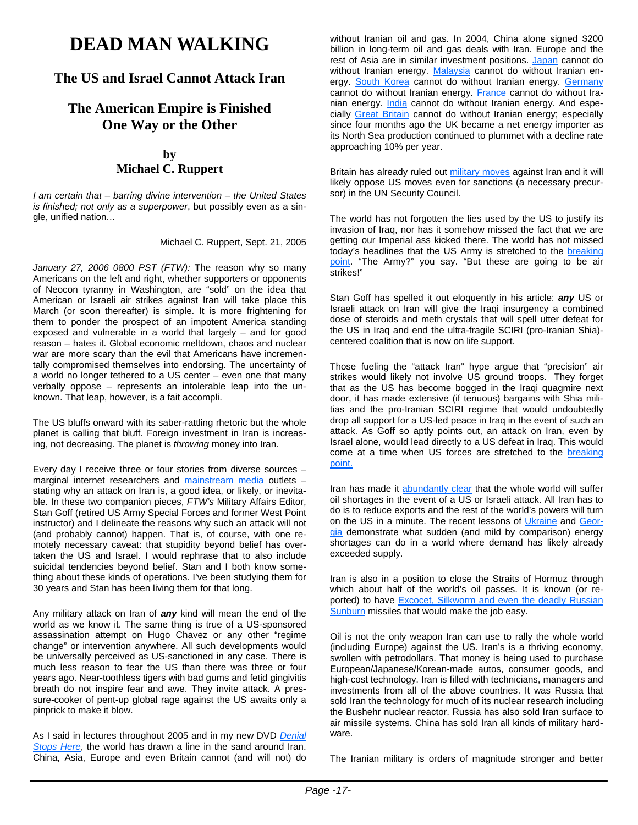### **DEAD MAN WALKING**

#### **The US and Israel Cannot Attack Iran**

#### **The American Empire is Finished One Way or the Other**

#### **by Michael C. Ruppert**

*I am certain that – barring divine intervention – the United States is finished; not only as a superpower*, but possibly even as a single, unified nation*…*

Michael C. Ruppert, Sept. 21, 2005

*January 27, 2006 0800 PST (FTW):* **T**he reason why so many Americans on the left and right, whether supporters or opponents of Neocon tyranny in Washington, are "sold" on the idea that American or Israeli air strikes against Iran will take place this March (or soon thereafter) is simple. It is more frightening for them to ponder the prospect of an impotent America standing exposed and vulnerable in a world that largely – and for good reason – hates it. Global economic meltdown, chaos and nuclear war are more scary than the evil that Americans have incrementally compromised themselves into endorsing. The uncertainty of a world no longer tethered to a US center – even one that many verbally oppose – represents an intolerable leap into the unknown. That leap, however, is a fait accompli.

The US bluffs onward with its saber-rattling rhetoric but the whole planet is calling that bluff. Foreign investment in Iran is increasing, not decreasing. The planet is *throwing* money into Iran.

Every day I receive three or four stories from diverse sources – marginal internet researchers and mainstream media outlets stating why an attack on Iran is, a good idea, or likely, or inevitable. In these two companion pieces, *FTW's* Military Affairs Editor, Stan Goff (retired US Army Special Forces and former West Point instructor) and I delineate the reasons why such an attack will not (and probably cannot) happen. That is, of course, with one remotely necessary caveat: that stupidity beyond belief has overtaken the US and Israel. I would rephrase that to also include suicidal tendencies beyond belief. Stan and I both know something about these kinds of operations. I've been studying them for 30 years and Stan has been living them for that long.

Any military attack on Iran of *any* kind will mean the end of the world as we know it. The same thing is true of a US-sponsored assassination attempt on Hugo Chavez or any other "regime change" or intervention anywhere. All such developments would be universally perceived as US-sanctioned in any case. There is much less reason to fear the US than there was three or four years ago. Near-toothless tigers with bad gums and fetid gingivitis breath do not inspire fear and awe. They invite attack. A pressure-cooker of pent-up global rage against the US awaits only a pinprick to make it blow.

As I said in lectures throughout 2005 and in my new DVD *Denial Stops Here*, the world has drawn a line in the sand around Iran. China, Asia, Europe and even Britain cannot (and will not) do without Iranian oil and gas. In 2004, China alone signed \$200 billion in long-term oil and gas deals with Iran. Europe and the rest of Asia are in similar investment positions. Japan cannot do without Iranian energy. Malaysia cannot do without Iranian energy. South Korea cannot do without Iranian energy. Germany cannot do without Iranian energy. France cannot do without Iranian energy. **India** cannot do without Iranian energy. And especially Great Britain cannot do without Iranian energy; especially since four months ago the UK became a net energy importer as its North Sea production continued to plummet with a decline rate approaching 10% per year.

Britain has already ruled out military moves against Iran and it will likely oppose US moves even for sanctions (a necessary precursor) in the UN Security Council.

The world has not forgotten the lies used by the US to justify its invasion of Iraq, nor has it somehow missed the fact that we are getting our Imperial ass kicked there. The world has not missed today's headlines that the US Army is stretched to the breaking point. "The Army?" you say. "But these are going to be air strikes!"

Stan Goff has spelled it out eloquently in his article: *any* US or Israeli attack on Iran will give the Iraqi insurgency a combined dose of steroids and meth crystals that will spell utter defeat for the US in Iraq and end the ultra-fragile SCIRI (pro-Iranian Shia) centered coalition that is now on life support.

Those fueling the "attack Iran" hype argue that "precision" air strikes would likely not involve US ground troops. They forget that as the US has become bogged in the Iraqi quagmire next door, it has made extensive (if tenuous) bargains with Shia militias and the pro-Iranian SCIRI regime that would undoubtedly drop all support for a US-led peace in Iraq in the event of such an attack. As Goff so aptly points out, an attack on Iran, even by Israel alone, would lead directly to a US defeat in Iraq. This would come at a time when US forces are stretched to the breaking point.

Iran has made it abundantly clear that the whole world will suffer oil shortages in the event of a US or Israeli attack. All Iran has to do is to reduce exports and the rest of the world's powers will turn on the US in a minute. The recent lessons of Ukraine and Georgia demonstrate what sudden (and mild by comparison) energy shortages can do in a world where demand has likely already exceeded supply.

Iran is also in a position to close the Straits of Hormuz through which about half of the world's oil passes. It is known (or reported) to have Excocet, Silkworm and even the deadly Russian Sunburn missiles that would make the job easy.

Oil is not the only weapon Iran can use to rally the whole world (including Europe) against the US. Iran's is a thriving economy, swollen with petrodollars. That money is being used to purchase European/Japanese/Korean-made autos, consumer goods, and high-cost technology. Iran is filled with technicians, managers and investments from all of the above countries. It was Russia that sold Iran the technology for much of its nuclear research including the Bushehr nuclear reactor. Russia has also sold Iran surface to air missile systems. China has sold Iran all kinds of military hardware.

The Iranian military is orders of magnitude stronger and better